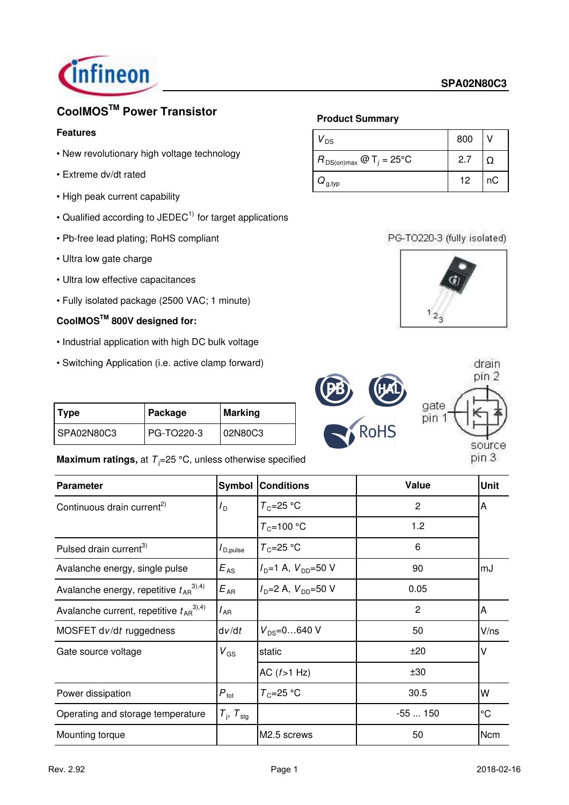

# **CoolMOSTM Power Transistor**

## **Features**

- New revolutionary high voltage technology
- Extreme dv/dt rated
- High peak current capability
- Qualified according to JEDEC $<sup>1</sup>$  for target applications</sup>
- Pb-free lead plating; RoHS compliant
- Ultra low gate charge
- Ultra low effective capacitances
- Fully isolated package (2500 VAC; 1 minute)

## **CoolMOSTM 800V designed for:**

- Industrial application with high DC bulk voltage
- Switching Application (i.e. active clamp forward)

| <b>Type</b> | Package<br>  Marking |         |
|-------------|----------------------|---------|
| SPA02N80C3  | PG-TO220-3           | 02N80C3 |

## **Maximum ratings, at**  $T_i = 25 \degree C$ **, unless otherwise specified**

### **Product Summary**

| $V_{DS}$                                | 800 |    |
|-----------------------------------------|-----|----|
| $R_{DS(on)max}$ @ T <sub>j</sub> = 25°C | 2.7 |    |
| $Q_{\text{g,typ}}$                      | 12  | пC |

PG-TO220-3 (fully isolated)





| <b>Parameter</b>                                |                                 | <b>Symbol Conditions</b>                                   | Value          | <b>Unit</b>     |
|-------------------------------------------------|---------------------------------|------------------------------------------------------------|----------------|-----------------|
| Continuous drain current <sup>2)</sup>          | $I_{\mathsf{D}}$                | $T_c = 25 °C$                                              | 2              | A               |
|                                                 |                                 | $T_c = 100 °C$                                             | 1.2            |                 |
| Pulsed drain current <sup>3)</sup>              | $I_{\mathsf{D},\mathsf{pulse}}$ | $T_c = 25 °C$                                              | 6              |                 |
| Avalanche energy, single pulse                  | $E_{AS}$                        | $I_{\text{D}} = 1 \text{ A}, V_{\text{DD}} = 50 \text{ V}$ | 90             | mJ              |
| Avalanche energy, repetitive $t_{AB}^{(3),4)}$  | $E_{AR}$                        | $I_{\text{D}} = 2 \text{ A}, V_{\text{DD}} = 50 \text{ V}$ | 0.05           |                 |
| Avalanche current, repetitive $t_{AB}^{(3),4)}$ | $I_{\sf AR}$                    |                                                            | $\overline{c}$ | A               |
| MOSFET dv/dt ruggedness                         | dv/dt                           | $V_{DS} = 0640$ V                                          | 50             | V/ns            |
| Gate source voltage                             | $V_{GS}$                        | static                                                     | ±20            | v               |
|                                                 |                                 | AC $(f>1$ Hz)                                              | ±30            |                 |
| Power dissipation                               | $P_{\text{tot}}$                | $T_c = 25 °C$                                              | 30.5           | W               |
| Operating and storage temperature               | $T_{\rm j}$ , $T_{\rm stg}$     |                                                            | $-55150$       | $\rm ^{\circ}C$ |
| Mounting torque                                 |                                 | M2.5 screws                                                | 50             | <b>Ncm</b>      |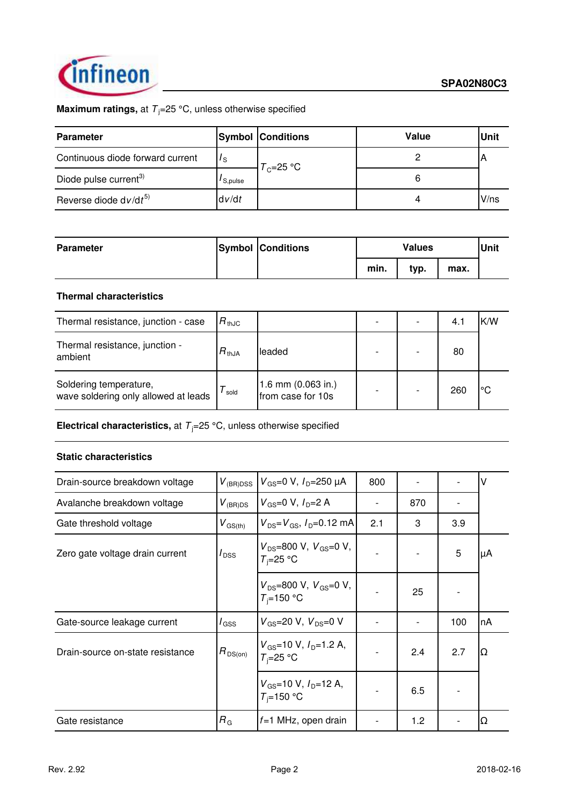

## **Maximum ratings,** at  $T_j = 25 \degree C$ , unless otherwise specified

| <b>Parameter</b>                  |         | <b>Symbol Conditions</b> | Value | <b>Unit</b> |
|-----------------------------------|---------|--------------------------|-------|-------------|
| Continuous diode forward current  | 's      | $T_c = 25 °C$            |       |             |
| Diode pulse current <sup>3)</sup> | S.pulse |                          |       |             |
| Reverse diode $dv/dt^{5}$         | dv/dt   |                          |       | $V$ /ns     |

| <b>Parameter</b> | <b>Symbol Conditions</b> | <b>Values</b> |      |      | Unit |
|------------------|--------------------------|---------------|------|------|------|
|                  |                          | min.          | typ. | max. |      |

#### **Thermal characteristics**

| Thermal resistance, junction - case                            | $R_{thJC}$ |                                           |  | 4.1 | K/W |
|----------------------------------------------------------------|------------|-------------------------------------------|--|-----|-----|
| Thermal resistance, junction -<br>ambient                      | $R_{thJA}$ | leaded                                    |  | 80  |     |
| Soldering temperature,<br>wave soldering only allowed at leads | sold       | 1.6 mm $(0.063$ in.)<br>from case for 10s |  | 260 | °€  |

**Electrical characteristics,** at  $T_j = 25 \text{ °C}$ , unless otherwise specified

### **Static characteristics**

| Drain-source breakdown voltage   | $V_{\text{GS}} = 0 \text{ V}, I_{\text{D}} = 250 \text{ }\mu\text{A}$<br>$V_{(BR)DSS}$ |                                                                | 800 |     |     | ٧  |
|----------------------------------|----------------------------------------------------------------------------------------|----------------------------------------------------------------|-----|-----|-----|----|
| Avalanche breakdown voltage      | $V_{\scriptscriptstyle{\sf{(BR)DS}}}$                                                  | $V_{GS}$ =0 V, $I_{D}$ =2 A                                    |     | 870 |     |    |
| Gate threshold voltage           | $V_{\text{GS(th)}}$                                                                    | $V_{DS} = V_{GS}$ , $I_{D} = 0.12$ mA                          | 2.1 | 3   | 3.9 |    |
| Zero gate voltage drain current  | $I_{\text{DSS}}$                                                                       | $V_{DS}$ =800 V, $V_{GS}$ =0 V,<br>$T_i = 25$ °C               |     |     | 5   | μA |
|                                  |                                                                                        | $V_{DS}$ =800 V, $V_{GS}$ =0 V,<br>$T_i = 150 °C$              |     | 25  |     |    |
| Gate-source leakage current      | / <sub>GSS</sub>                                                                       | $V_{\rm GS}$ =20 V, $V_{\rm DS}$ =0 V                          |     |     | 100 | nA |
| Drain-source on-state resistance | $R_{DS(on)}$                                                                           | $V_{\text{GS}}$ =10 V, $I_{\text{D}}$ =1.2 A,<br>$T_i = 25$ °C |     | 2.4 | 2.7 | Ω  |
|                                  |                                                                                        | $V_{GS}$ =10 V, $I_{D}$ =12 A,<br>$T_i = 150 °C$               |     | 6.5 |     |    |
| Gate resistance                  | $R_{\rm G}$                                                                            | $f=1$ MHz, open drain                                          |     | 1.2 |     | Ω  |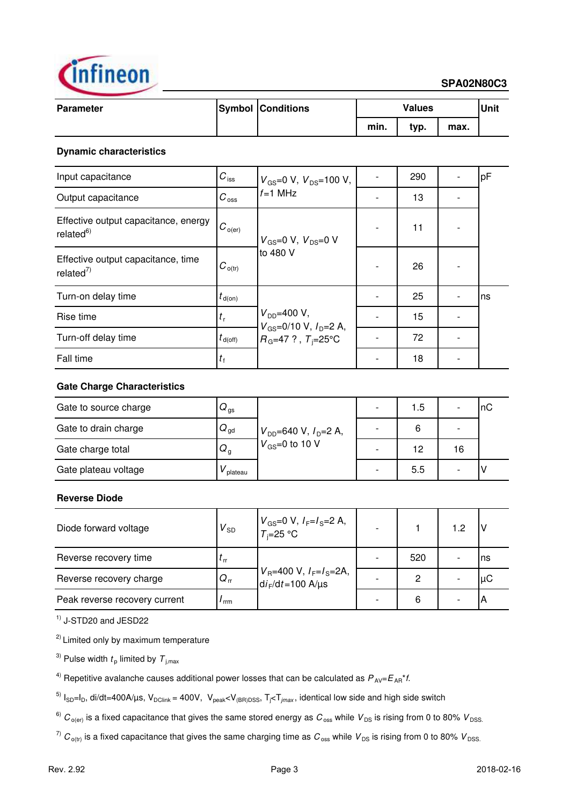

#### **SPA02N80C3**

| <b>Parameter</b> | <b>Symbol Conditions</b> | <b>Values</b> |      |      | Unit |
|------------------|--------------------------|---------------|------|------|------|
|                  |                          | min.          | typ. | max. |      |

#### **Dynamic characteristics**

| Input capacitance                                             | $C_{\text{iss}}$     | $V_{\text{GS}} = 0 \text{ V}, V_{\text{DS}} = 100 \text{ V},$ | 290 | pF  |
|---------------------------------------------------------------|----------------------|---------------------------------------------------------------|-----|-----|
| Output capacitance                                            | $C_{\rm oss}$        | $f=1$ MHz                                                     | 13  |     |
| Effective output capacitance, energy<br>related <sup>6)</sup> | $ C_{o(\text{er})} $ | $V_{GS}$ =0 V, $V_{DS}$ =0 V                                  | 11  |     |
| Effective output capacitance, time<br>related $^{7)}$         | $C_{o(tr)}$          | to 480 V                                                      | 26  |     |
| Turn-on delay time                                            | $t_{\text{d}(on)}$   |                                                               | 25  | Ins |
| Rise time                                                     | $t_{\rm r}$          | $V_{DD} = 400 V,$                                             | 15  |     |
| Turn-off delay time                                           | $t_{\text{d(off)}}$  | $V_{GS}$ =0/10 V, $I_{D}$ =2 A,<br>$R_G$ =47 ?, $T_i$ =25°C   | 72  |     |
| Fall time                                                     | $t_{\rm f}$          |                                                               | 18  |     |

### **Gate Charge Characteristics**

| Gate to source charge | $Q_{\rm gs}$              |                                      | 1.5 |    | InC |
|-----------------------|---------------------------|--------------------------------------|-----|----|-----|
| Gate to drain charge  | $Q_{\text{gd}}$           | $V_{DD}$ =640 V, $I_D$ =2 A,         | 6   |    |     |
| Gate charge total     | $\omega_{\text{\tiny g}}$ | $\mathsf{1}_{V_\text{GS}=0}$ to 10 V | 12  | 16 |     |
| Gate plateau voltage  | plateau                   |                                      | 5.5 |    |     |

## **Reverse Diode**

| Diode forward voltage         | $V_{SD}$                   | $V_{GS}$ =0 V, $I_F = I_S = 2$ A,<br>$T_i = 25$ °C                                                                                                         |     | 1.2 |     |
|-------------------------------|----------------------------|------------------------------------------------------------------------------------------------------------------------------------------------------------|-----|-----|-----|
| Reverse recovery time         | $\mathfrak{c}_{\text{rr}}$ |                                                                                                                                                            | 520 |     | Ins |
| Reverse recovery charge       | $Q_{rr}$                   | $\int_{\text{d}} V_{\text{R}} = 400 \text{ V}, I_{\text{F}} = I_{\text{S}} = 2 \text{A},$<br>$\int_{\text{d}} V_{\text{F}} / \text{d}t = 100 \text{ A/µs}$ | 2   |     | μC  |
| Peak reverse recovery current | rrm                        |                                                                                                                                                            | 6   |     |     |

 $<sup>1</sup>$  J-STD20 and JESD22</sup>

<sup>2)</sup> Limited only by maximum temperature

 $^{3)}$  Pulse width  $t_{\sf p}$  limited by  ${\cal T}_{\sf j,max}$ 

<sup>4)</sup> Repetitive avalanche causes additional power losses that can be calculated as  $P_{AV}=E_{AR}^*f$ .

<sup>5)</sup>  $I_{SD}$ = $I_D$ , di/dt=400A/µs, V<sub>DClink</sub> = 400V, V<sub>peak</sub><V<sub>(BR)DSS</sub>, T<sub>j</sub><T<sub>jmax</sub>, identical low side and high side switch

<sup>6)</sup>  $C_{\text{o(en)}}$  is a fixed capacitance that gives the same stored energy as  $C_{\text{oss}}$  while  $V_{DS}$  is rising from 0 to 80%  $V_{DSS}$ .

 $^{7)}$   $C_{\text{o(tr)}}$  is a fixed capacitance that gives the same charging time as  $C_{\text{oss}}$  while  $V_{DS}$  is rising from 0 to 80%  $V_{DSS}$ .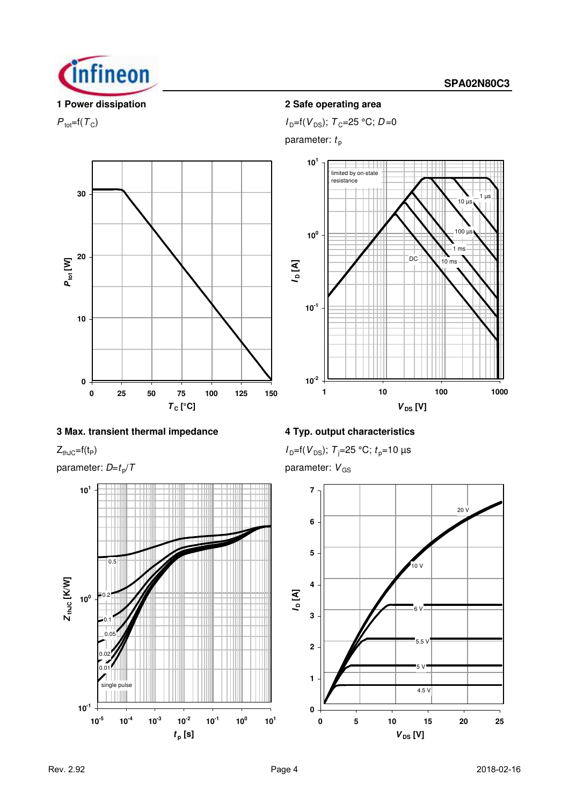



## **3 Max. transient thermal impedance 4 Typ. output characteristics**

parameter:  $D=t_p/T$ 



## **1 Power dissipation 2 Safe operating area**

 $P_{\text{tot}}=f(T_{\text{C}})$  *I*<sub>D</sub>=f(*V*<sub>DS</sub>); *T*<sub>C</sub>=25 °C; *D*=0

parameter:  $t_{\text{p}}$ 



 $Z_{thJC} = f(t_P)$  *I*  $D = f(V_{DS})$ ; *T*<sub>j</sub>=25 °C; *t*<sub>p</sub>=10 µs

parameter:  $V_{GS}$ 

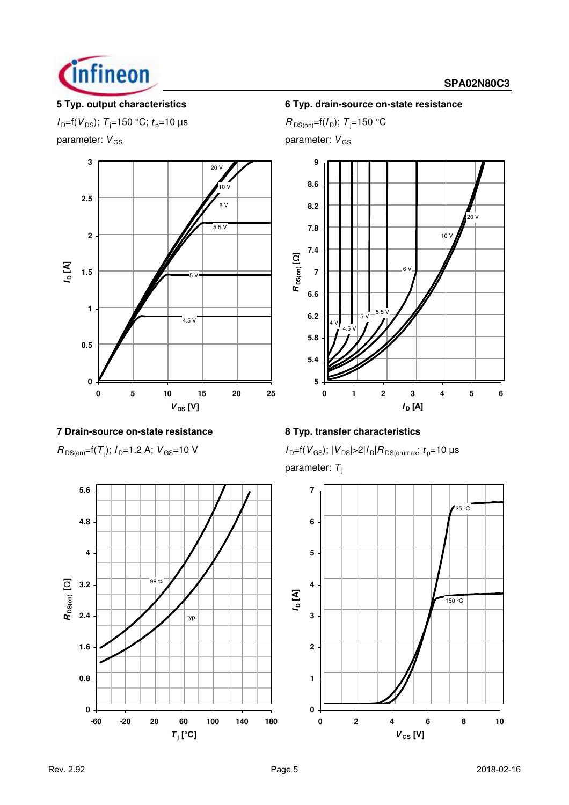

#### **SPA02N80C3**

 $I_{D}$ =f( $V_{DS}$ ); *T*<sub>j</sub>=150 °C; *t*<sub>p</sub>=10 µs *R*<sub>DS(on)</sub>=f( $I_{D}$ ); *T*<sub>j</sub>=150 °C parameter:  $V_{GS}$  parameter:  $V_{GS}$ 



## **7 Drain-source on-state resistance 8 Typ. transfer characteristics**

 $R_{DS(on)}$ =f(*T*<sub>j</sub>);  $I_{D}$ =1.2 A;  $V_{GS}$ =10 V



### **5 Typ. output characteristics 6 Typ. drain-source on-state resistance**



 $I_{\text{D}}$ =f( $V_{\text{GS}}$ );  $|V_{\text{DS}}|$ >2| $I_{\text{D}}|R_{\text{DS}(on)max}$ ;  $t_{\text{D}}$ =10 µs parameter: T<sub>i</sub>

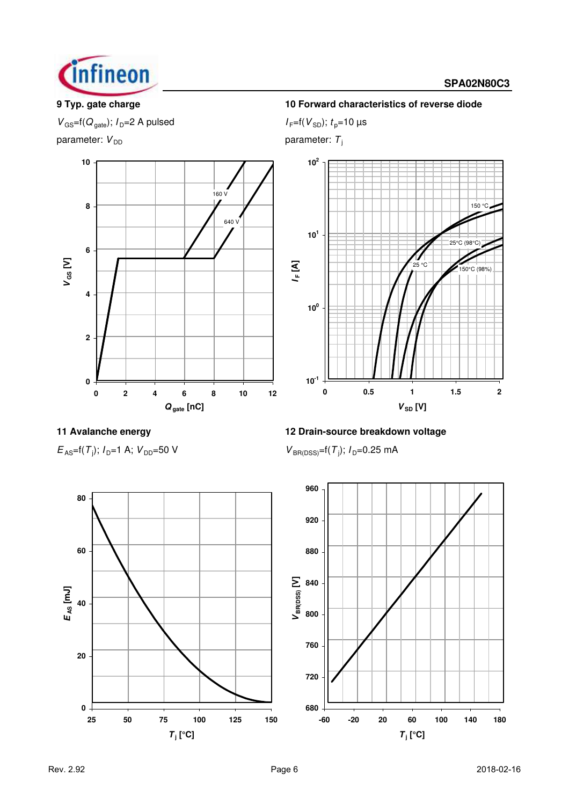

#### **SPA02N80C3**

 $V_{\text{GS}} = f(Q_{\text{gate}});$   $I_{\text{D}} = 2$  A pulsed  $I_{\text{F}} = f(V_{\text{SD}});$   $t_{\text{p}} = 10$  µs

parameter:  $V_{DD}$  parameter: *T*<sub>j</sub>



## **9 Typ. gate charge 10 Forward characteristics of reverse diode**



 $E_{AS}$ =f(*T*<sub>j</sub>); *I*<sub>D</sub>=1 A; *V*<sub>DD</sub>=50 V *V*<sub>BR(DSS)</sub>=f(*T*<sub>j</sub>)

**11 Avalanche energy 12 Drain-source breakdown voltage**

 $V_{BR(DSS)} = f(T_i); I_D = 0.25 \text{ mA}$ 

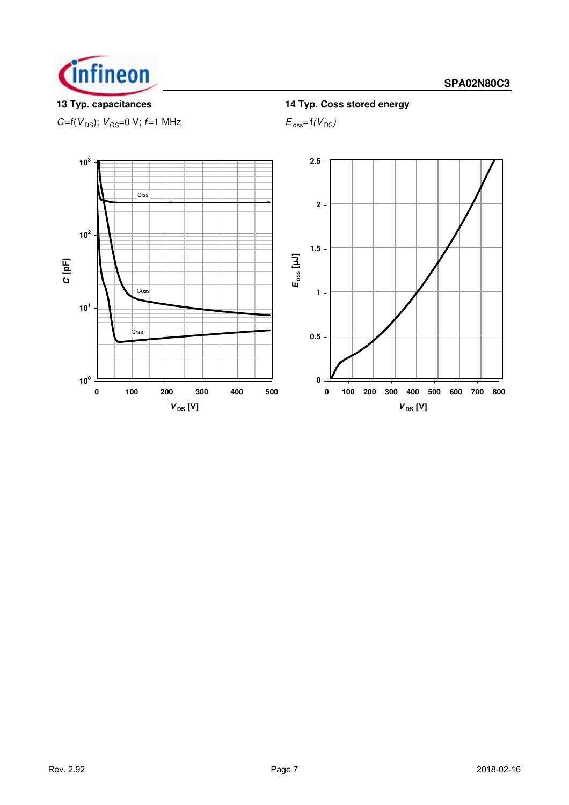

 $C = f(V_{DS})$ ;  $V_{GS} = 0$  V;  $f = 1$  MHz  $E_{oss} = f(V_{DS})$ 

**13 Typ. capacitances 14 Typ. Coss stored energy**

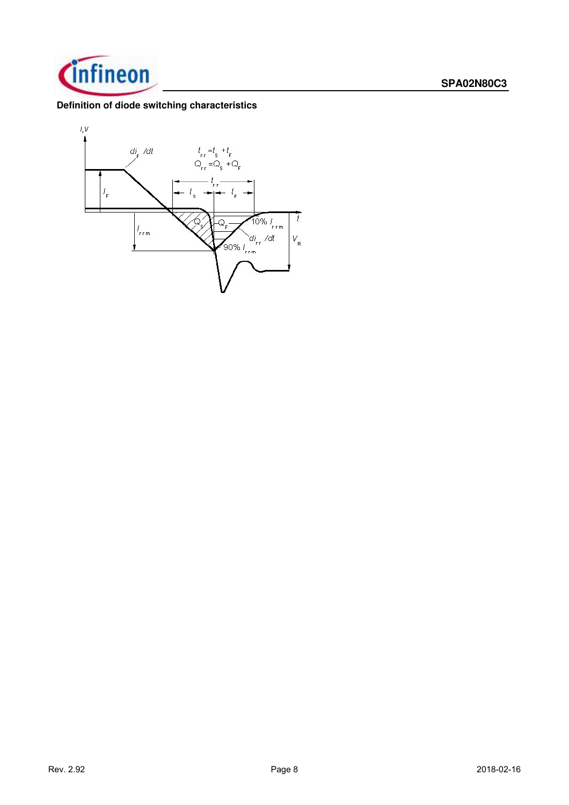

## **Definition of diode switching characteristics**

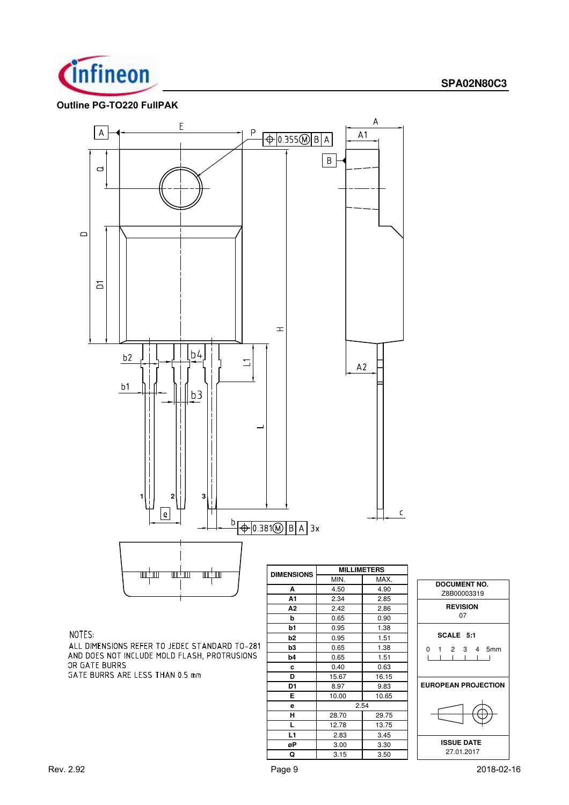

#### **Outline PG-TO220 FullPAK**